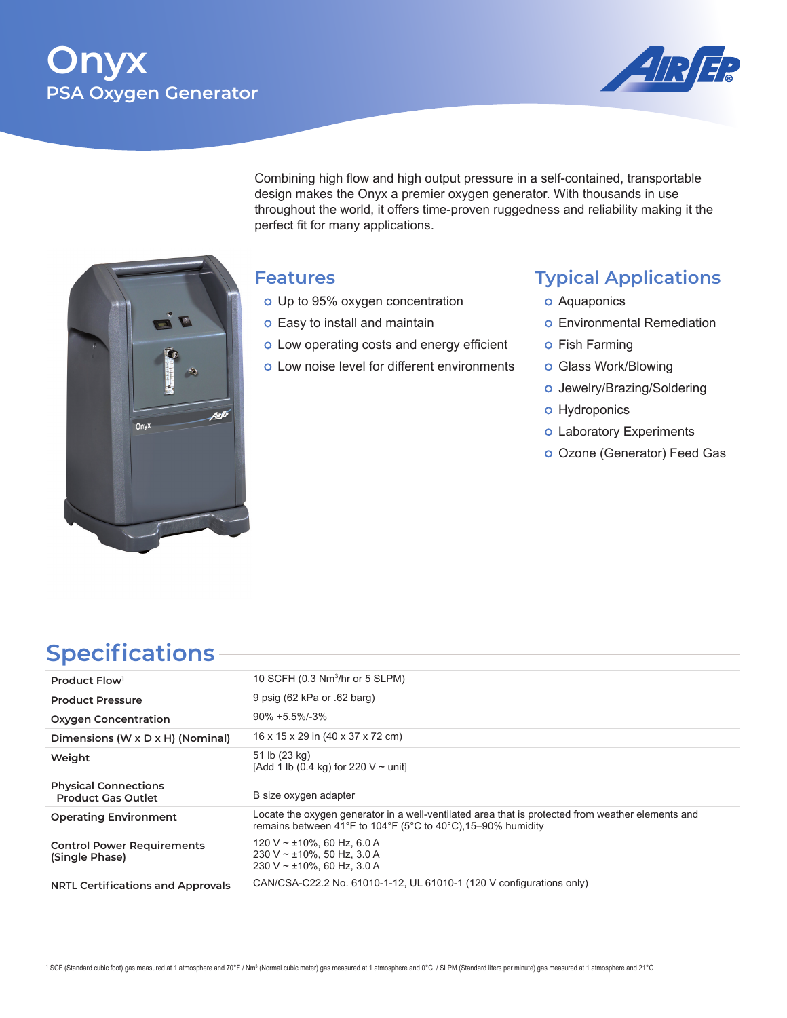# **Onyx PSA Oxygen Generator**



Combining high flow and high output pressure in a self-contained, transportable design makes the Onyx a premier oxygen generator. With thousands in use throughout the world, it offers time-proven ruggedness and reliability making it the perfect fit for many applications.

# Onyx

## **Features**

- o Up to 95% oxygen concentration
- o Easy to install and maintain
- o Low operating costs and energy efficient
- o Low noise level for different environments

# **Typical Applications**

- o Aquaponics
- o Environmental Remediation
- o Fish Farming
- o Glass Work/Blowing
- o Jewelry/Brazing/Soldering
- o Hydroponics
- o Laboratory Experiments
- Ozone (Generator) Feed Gas

# **Specifications**

| Product Flow <sup>1</sup>                                | 10 SCFH (0.3 Nm <sup>3</sup> /hr or 5 SLPM)                                                                                                                       |
|----------------------------------------------------------|-------------------------------------------------------------------------------------------------------------------------------------------------------------------|
| <b>Product Pressure</b>                                  | 9 psig (62 kPa or .62 barg)                                                                                                                                       |
| <b>Oxygen Concentration</b>                              | $90\% + 5.5\% - 3\%$                                                                                                                                              |
| Dimensions (W $\times$ D $\times$ H) (Nominal)           | 16 x 15 x 29 in (40 x 37 x 72 cm)                                                                                                                                 |
| Weight                                                   | 51 lb (23 kg)<br>[Add 1 lb (0.4 kg) for 220 $V \sim$ unit]                                                                                                        |
| <b>Physical Connections</b><br><b>Product Gas Outlet</b> | B size oxygen adapter                                                                                                                                             |
| <b>Operating Environment</b>                             | Locate the oxygen generator in a well-ventilated area that is protected from weather elements and<br>remains between 41°F to 104°F (5°C to 40°C), 15–90% humidity |
| <b>Control Power Requirements</b><br>(Single Phase)      | 120 V ~ $\pm$ 10%, 60 Hz, 6.0 A<br>230 V ~ $\pm$ 10%, 50 Hz, 3.0 A<br>230 V ~ $\pm$ 10%, 60 Hz, 3.0 A                                                             |
| <b>NRTL Certifications and Approvals</b>                 | CAN/CSA-C22.2 No. 61010-1-12, UL 61010-1 (120 V configurations only)                                                                                              |